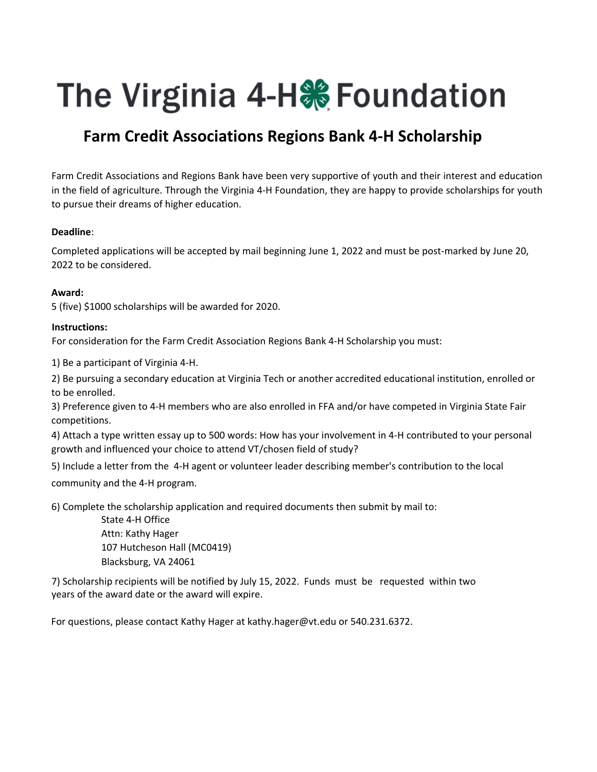# The Virginia 4-H. Foundation

### **Farm Credit Associations Regions Bank 4‐H Scholarship**

Farm Credit Associations and Regions Bank have been very supportive of youth and their interest and education in the field of agriculture. Through the Virginia 4‐H Foundation, they are happy to provide scholarships for youth to pursue their dreams of higher education.

#### **Deadline**:

Completed applications will be accepted by mail beginning June 1, 2022 and must be post‐marked by June 20, 2022 to be considered.

#### **Award:**

5 (five) \$1000 scholarships will be awarded for 2020.

#### **Instructions:**

For consideration for the Farm Credit Association Regions Bank 4-H Scholarship you must:

1) Be a participant of Virginia 4‐H.

2) Be pursuing a secondary education at Virginia Tech or another accredited educational institution, enrolled or to be enrolled.

3) Preference given to 4‐H members who are also enrolled in FFA and/or have competed in Virginia State Fair competitions.

4) Attach a type written essay up to 500 words: How has your involvement in 4‐H contributed to your personal growth and influenced your choice to attend VT/chosen field of study?

5) Include a letter from the 4‐H agent or volunteer leader describing member's contribution to the local community and the 4‐H program.

6) Complete the scholarship application and required documents then submit by mail to:

State 4‐H Office Attn: Kathy Hager 107 Hutcheson Hall (MC0419) Blacksburg, VA 24061

7) Scholarship recipients will be notified by July 15, 2022. Funds must be requested within two years of the award date or the award will expire.

For questions, please contact Kathy Hager at kathy.hager@vt.edu or 540.231.6372.